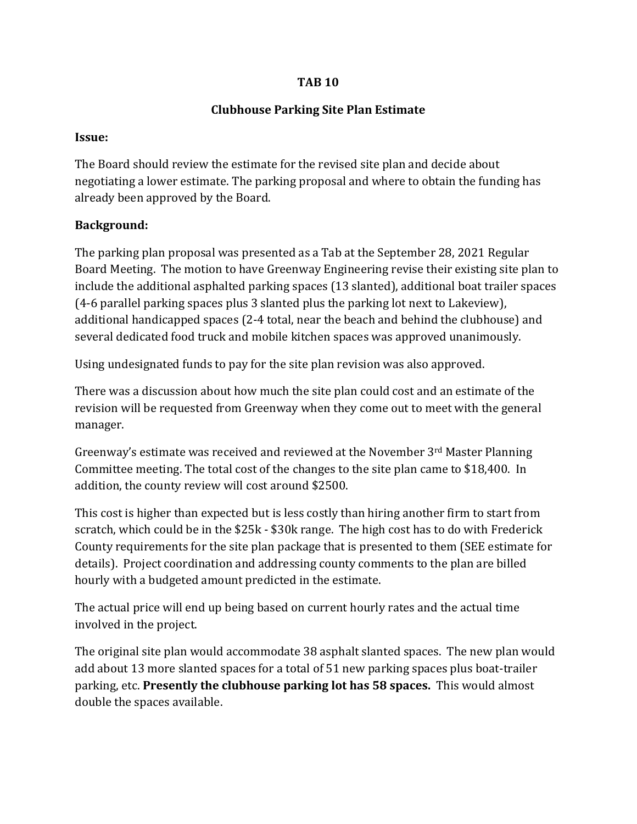#### **TAB 10**

## **Clubhouse Parking Site Plan Estimate**

#### **Issue:**

The Board should review the estimate for the revised site plan and decide about negotiating a lower estimate. The parking proposal and where to obtain the funding has already been approved by the Board.

# **Background:**

The parking plan proposal was presented as a Tab at the September 28, 2021 Regular Board Meeting. The motion to have Greenway Engineering revise their existing site plan to include the additional asphalted parking spaces (13 slanted), additional boat trailer spaces (4-6 parallel parking spaces plus 3 slanted plus the parking lot next to Lakeview), additional handicapped spaces (2-4 total, near the beach and behind the clubhouse) and several dedicated food truck and mobile kitchen spaces was approved unanimously.

Using undesignated funds to pay for the site plan revision was also approved.

There was a discussion about how much the site plan could cost and an estimate of the revision will be requested from Greenway when they come out to meet with the general manager.

Greenway's estimate was received and reviewed at the November 3rd Master Planning Committee meeting. The total cost of the changes to the site plan came to \$18,400. In addition, the county review will cost around \$2500.

This cost is higher than expected but is less costly than hiring another firm to start from scratch, which could be in the \$25k - \$30k range. The high cost has to do with Frederick County requirements for the site plan package that is presented to them (SEE estimate for details). Project coordination and addressing county comments to the plan are billed hourly with a budgeted amount predicted in the estimate.

The actual price will end up being based on current hourly rates and the actual time involved in the project.

The original site plan would accommodate 38 asphalt slanted spaces. The new plan would add about 13 more slanted spaces for a total of 51 new parking spaces plus boat-trailer parking, etc. **Presently the clubhouse parking lot has 58 spaces.** This would almost double the spaces available.